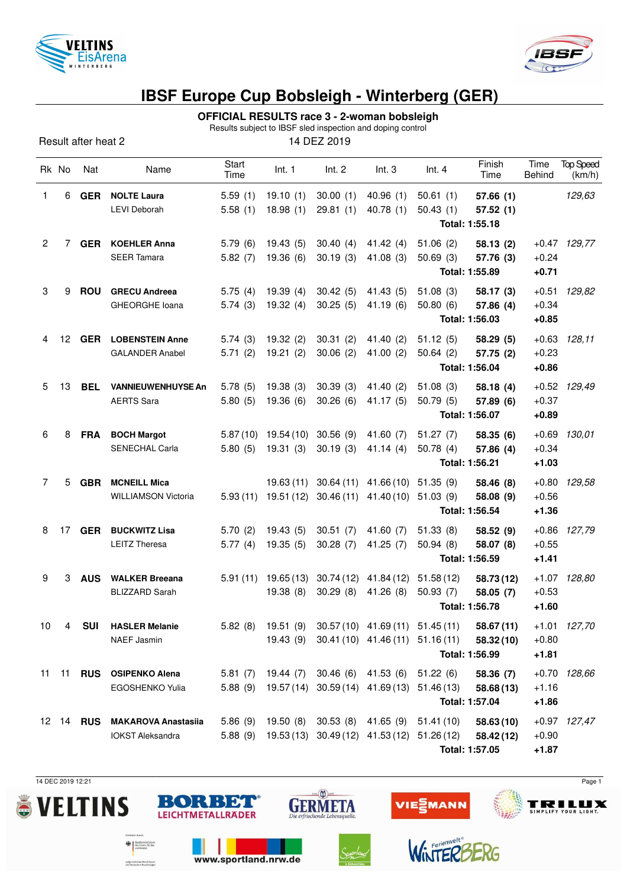



## **IBSF Europe Cup Bobsleigh - Winterberg (GER)**

## **OFFICIAL RESULTS race 3 - 2-woman bobsleigh**

| Results subject to IBSF sled inspection and doping control |                |                  |                            |               |            |                              |                                                      |                       |                |                |                            |
|------------------------------------------------------------|----------------|------------------|----------------------------|---------------|------------|------------------------------|------------------------------------------------------|-----------------------|----------------|----------------|----------------------------|
| 14 DEZ 2019<br>Result after heat 2                         |                |                  |                            |               |            |                              |                                                      |                       |                |                |                            |
|                                                            | Rk No          | Nat              | Name                       | Start<br>Time | Int. 1     | Int. 2                       | Int.3                                                | Int.4                 | Finish<br>Time | Time<br>Behind | <b>Top Speed</b><br>(km/h) |
| 1                                                          | 6              | <b>GER</b>       | <b>NOLTE Laura</b>         | 5.59(1)       | 19.10(1)   | 30.00(1)                     | 40.96(1)                                             | 50.61(1)              | 57.66(1)       |                | 129,63                     |
|                                                            |                |                  | <b>LEVI Deborah</b>        | 5.58(1)       | 18.98(1)   | 29.81(1)                     | 40.78(1)                                             | 50.43(1)              | 57.52(1)       |                |                            |
|                                                            |                |                  |                            |               |            |                              |                                                      |                       |                |                |                            |
| $\overline{c}$                                             | 7              | <b>GER</b>       | <b>KOEHLER Anna</b>        | 5.79(6)       | 19.43(5)   | 30.40(4)                     | 41.42 $(4)$                                          | 51.06(2)              | 58.13(2)       |                | $+0.47$ 129,77             |
|                                                            |                |                  | <b>SEER Tamara</b>         | 5.82(7)       | 19.36(6)   | 30.19(3)                     | 41.08(3)                                             | 50.69(3)              | 57.76 (3)      | $+0.24$        |                            |
|                                                            |                |                  |                            |               |            |                              |                                                      | Total: 1:55.89        | $+0.71$        |                |                            |
| 3                                                          | 9              | <b>ROU</b>       | <b>GRECU Andreea</b>       | 5.75(4)       | 19.39(4)   | 30.42(5)                     | 41.43 (5)                                            | 51.08(3)              | 58.17 (3)      | $+0.51$        | 129,82                     |
|                                                            |                |                  | <b>GHEORGHE loana</b>      | 5.74(3)       | 19.32(4)   | 30.25(5)                     | 41.19(6)                                             | 50.80(6)              | 57.86 (4)      | $+0.34$        |                            |
|                                                            |                |                  |                            |               |            |                              |                                                      |                       | Total: 1:56.03 | $+0.85$        |                            |
| 4                                                          | 12             | <b>GER</b>       | <b>LOBENSTEIN Anne</b>     | 5.74(3)       | 19.32(2)   | 30.31(2)                     | 41.40(2)                                             | 51.12(5)              | 58.29(5)       | $+0.63$        | 128,11                     |
|                                                            |                |                  | <b>GALANDER Anabel</b>     | 5.71(2)       | 19.21(2)   | 30.06(2)                     | 41.00 $(2)$                                          | 50.64(2)              | 57.75 (2)      | $+0.23$        |                            |
|                                                            |                |                  |                            |               |            |                              |                                                      | Total: 1:56.04        | $+0.86$        |                |                            |
| 5                                                          | 13             | <b>BEL</b>       | <b>VANNIEUWENHUYSE An</b>  | 5.78(5)       | 19.38(3)   | 30.39(3)                     | 41.40 (2)                                            | 51.08(3)              | 58.18(4)       |                | $+0.52$ 129,49             |
|                                                            |                |                  | <b>AERTS Sara</b>          | 5.80(5)       | 19.36(6)   | 30.26(6)                     | 41.17(5)                                             | 50.79(5)              | 57.89 (6)      | $+0.37$        |                            |
|                                                            |                |                  |                            |               |            |                              |                                                      |                       | Total: 1:56.07 | $+0.89$        |                            |
| 6                                                          | 8              | <b>FRA</b>       | <b>BOCH Margot</b>         | 5.87(10)      | 19.54 (10) | 30.56(9)                     | 41.60 $(7)$                                          | 51.27(7)              | 58.35(6)       | $+0.69$        | 130,01                     |
|                                                            |                |                  | <b>SENECHAL Carla</b>      | 5.80(5)       | 19.31(3)   | 30.19(3)                     | 41.14(4)                                             | 50.78(4)              | 57.86 (4)      | $+0.34$        |                            |
|                                                            |                |                  |                            |               |            |                              |                                                      |                       | Total: 1:56.21 | $+1.03$        |                            |
| $\overline{7}$                                             | 5              | <b>GBR</b>       | <b>MCNEILL Mica</b>        |               | 19.63(11)  | 30.64(11)                    | 41.66 (10)                                           | 51.35(9)              | 58.46 (8)      | $+0.80$        | 129,58                     |
|                                                            |                |                  | <b>WILLIAMSON Victoria</b> | 5.93(11)      |            | 19.51 (12) 30.46 (11)        | 41.40(10)                                            | 51.03(9)              | 58.08 (9)      | $+0.56$        |                            |
|                                                            |                |                  |                            |               |            |                              |                                                      |                       | Total: 1:56.54 | $+1.36$        |                            |
| 8                                                          | 17             | <b>GER</b>       | <b>BUCKWITZ Lisa</b>       | 5.70(2)       | 19.43(5)   | 30.51(7)                     | 41.60 (7)                                            | 51.33(8)              | 58.52(9)       |                | +0.86 127,79               |
|                                                            |                |                  | <b>LEITZ Theresa</b>       | 5.77(4)       | 19.35(5)   | 30.28(7)                     | 41.25(7)                                             | 50.94(8)              | 58.07 (8)      | $+0.55$        |                            |
|                                                            |                |                  |                            |               |            |                              |                                                      |                       | Total: 1:56.59 | $+1.41$        |                            |
| 9                                                          | 3              | <b>AUS</b>       | <b>WALKER Breeana</b>      | 5.91(11)      |            | 19.65 (13) 30.74 (12)        |                                                      | 41.84 (12) 51.58 (12) | 58.73 (12)     |                | +1.07 128,80               |
|                                                            |                |                  | <b>BLIZZARD Sarah</b>      |               | 19.38(8)   | 30.29 (8)                    | 41.26 (8)                                            | 50.93(7)              | 58.05 (7)      | $+0.53$        |                            |
|                                                            |                |                  |                            |               |            |                              |                                                      |                       | Total: 1:56.78 | $+1.60$        |                            |
| 10                                                         | $\overline{4}$ | <b>SUI</b>       | <b>HASLER Melanie</b>      |               |            |                              | 5.82 (8) 19.51 (9) 30.57 (10) 41.69 (11) 51.45 (11)  |                       | 58.67 (11)     |                | +1.01 127,70               |
|                                                            |                |                  | <b>NAEF Jasmin</b>         |               |            |                              | 19.43 (9) 30.41 (10) 41.46 (11) 51.16 (11)           |                       | 58.32(10)      | $+0.80$        |                            |
|                                                            |                |                  |                            |               |            |                              |                                                      |                       | Total: 1:56.99 | $+1.81$        |                            |
| 11                                                         |                |                  | 11 RUS OSIPENKO Alena      |               |            | 5.81 (7) 19.44 (7) 30.46 (6) | 41.53 (6) 51.22 (6)                                  |                       | 58.36 (7)      | $+0.70$        | 128,66                     |
|                                                            |                |                  | <b>EGOSHENKO Yulia</b>     |               |            |                              | 5.88 (9) 19.57 (14) 30.59 (14) 41.69 (13) 51.46 (13) |                       | 58.68(13)      | $+1.16$        |                            |
|                                                            |                |                  |                            |               |            |                              |                                                      |                       | Total: 1:57.04 | $+1.86$        |                            |
|                                                            |                | 12 14 <b>RUS</b> | <b>MAKAROVA Anastasiia</b> |               |            | 5.86 (9) 19.50 (8) 30.53 (8) |                                                      | 41.65 (9) 51.41 (10)  | 58.63(10)      |                | +0.97 127,47               |
|                                                            |                |                  | <b>IOKST Aleksandra</b>    |               |            |                              | 5.88 (9) 19.53 (13) 30.49 (12) 41.53 (12) 51.26 (12) |                       | 58.42 (12)     | $+0.90$        |                            |

**Total: 1:57.05 +1.87**

14 DEC 2019 12:21 Page 1





www.sportland.nrw.de

**Exploration State** 

aufgrund eines Beschlusses<br>des Deutschen Bundestages





VIE EMANN